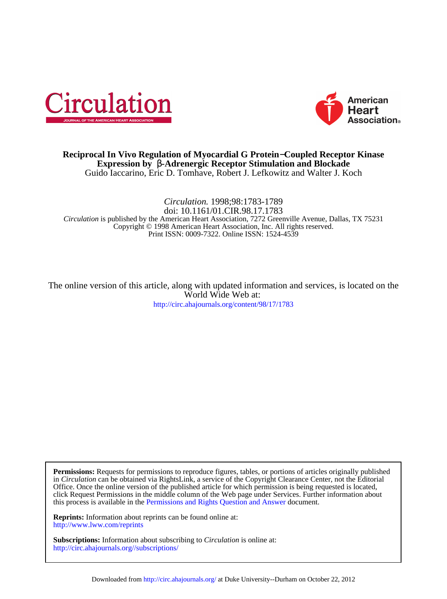



## Guido Iaccarino, Eric D. Tomhave, Robert J. Lefkowitz and Walter J. Koch **Expression by** β**-Adrenergic Receptor Stimulation and Blockade Reciprocal In Vivo Regulation of Myocardial G Protein**−**Coupled Receptor Kinase**

## Print ISSN: 0009-7322. Online ISSN: 1524-4539 Copyright © 1998 American Heart Association, Inc. All rights reserved. *Circulation* is published by the American Heart Association, 7272 Greenville Avenue, Dallas, TX 75231 doi: 10.1161/01.CIR.98.17.1783 *Circulation.* 1998;98:1783-1789

<http://circ.ahajournals.org/content/98/17/1783> World Wide Web at: The online version of this article, along with updated information and services, is located on the

this process is available in the [Permissions and Rights Question and Answer d](http://www.ahajournals.org/site/rights/)ocument. click Request Permissions in the middle column of the Web page under Services. Further information about Office. Once the online version of the published article for which permission is being requested is located, in *Circulation* can be obtained via RightsLink, a service of the Copyright Clearance Center, not the Editorial **Permissions:** Requests for permissions to reproduce figures, tables, or portions of articles originally published

<http://www.lww.com/reprints> **Reprints:** Information about reprints can be found online at:

<http://circ.ahajournals.org//subscriptions/> **Subscriptions:** Information about subscribing to *Circulation* is online at: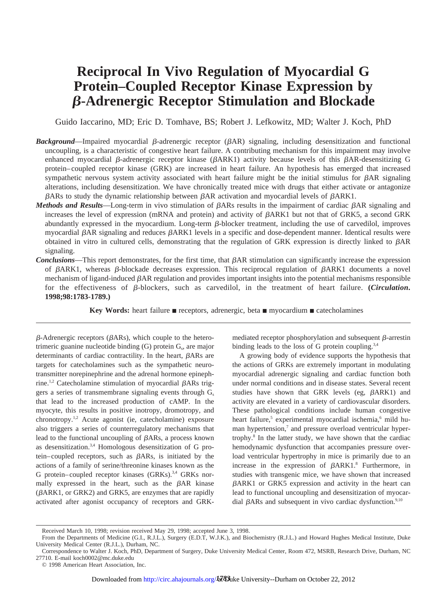# **Reciprocal In Vivo Regulation of Myocardial G Protein–Coupled Receptor Kinase Expression by** b**-Adrenergic Receptor Stimulation and Blockade**

Guido Iaccarino, MD; Eric D. Tomhave, BS; Robert J. Lefkowitz, MD; Walter J. Koch, PhD

- **Background**—Impaired myocardial  $\beta$ -adrenergic receptor ( $\beta$ AR) signaling, including desensitization and functional uncoupling, is a characteristic of congestive heart failure. A contributing mechanism for this impairment may involve enhanced myocardial  $\beta$ -adrenergic receptor kinase ( $\beta$ ARK1) activity because levels of this  $\beta$ AR-desensitizing G protein–coupled receptor kinase (GRK) are increased in heart failure. An hypothesis has emerged that increased sympathetic nervous system activity associated with heart failure might be the initial stimulus for  $\beta AR$  signaling alterations, including desensitization. We have chronically treated mice with drugs that either activate or antagonize  $\beta$ ARs to study the dynamic relationship between  $\beta$ AR activation and myocardial levels of  $\beta$ ARK1.
- *Methods and Results*—Long-term in vivo stimulation of  $\beta$ ARs results in the impairment of cardiac  $\beta$ AR signaling and increases the level of expression (mRNA and protein) and activity of  $\beta$ ARK1 but not that of GRK5, a second GRK abundantly expressed in the myocardium. Long-term  $\beta$ -blocker treatment, including the use of carvedilol, improves myocardial  $\beta$ AR signaling and reduces  $\beta$ ARK1 levels in a specific and dose-dependent manner. Identical results were obtained in vitro in cultured cells, demonstrating that the regulation of GRK expression is directly linked to  $\beta AR$ signaling.
- **Conclusions**—This report demonstrates, for the first time, that  $\beta$ AR stimulation can significantly increase the expression of  $\beta$ ARK1, whereas  $\beta$ -blockade decreases expression. This reciprocal regulation of  $\beta$ ARK1 documents a novel mechanism of ligand-induced  $\beta AR$  regulation and provides important insights into the potential mechanisms responsible for the effectiveness of  $\beta$ -blockers, such as carvedilol, in the treatment of heart failure. (*Circulation*. **1998;98:1783-1789.)**

**Key Words:** heart failure **n** receptors, adrenergic, beta **n** myocardium **n** catecholamines

 $\beta$ -Adrenergic receptors ( $\beta$ ARs), which couple to the heterotrimeric guanine nucleotide binding  $(G)$  protein  $G_s$ , are major determinants of cardiac contractility. In the heart,  $\beta ARs$  are targets for catecholamines such as the sympathetic neurotransmitter norepinephrine and the adrenal hormone epinephrine.<sup>1,2</sup> Catecholamine stimulation of myocardial  $\beta$ ARs triggers a series of transmembrane signaling events through  $G_s$ that lead to the increased production of cAMP. In the myocyte, this results in positive inotropy, dromotropy, and chronotropy.1,2 Acute agonist (ie, catecholamine) exposure also triggers a series of counterregulatory mechanisms that lead to the functional uncoupling of  $\beta$ ARs, a process known as desensitization.3,4 Homologous desensitization of G protein–coupled receptors, such as  $\beta$ ARs, is initiated by the actions of a family of serine/threonine kinases known as the G protein–coupled receptor kinases (GRKs).<sup>3,4</sup> GRKs normally expressed in the heart, such as the  $\beta AR$  kinase  $(\beta A R K1, \text{ or } G R K2)$  and  $G R K5$ , are enzymes that are rapidly activated after agonist occupancy of receptors and GRK- mediated receptor phosphorylation and subsequent  $\beta$ -arrestin binding leads to the loss of G protein coupling. $3,4$ 

A growing body of evidence supports the hypothesis that the actions of GRKs are extremely important in modulating myocardial adrenergic signaling and cardiac function both under normal conditions and in disease states. Several recent studies have shown that GRK levels (eg,  $\beta$ ARK1) and activity are elevated in a variety of cardiovascular disorders. These pathological conditions include human congestive heart failure,<sup>5</sup> experimental myocardial ischemia,<sup>6</sup> mild human hypertension,<sup>7</sup> and pressure overload ventricular hypertrophy.8 In the latter study, we have shown that the cardiac hemodynamic dysfunction that accompanies pressure overload ventricular hypertrophy in mice is primarily due to an increase in the expression of  $\beta A R K1$ .<sup>8</sup> Furthermore, in studies with transgenic mice, we have shown that increased  $\beta$ ARK1 or GRK5 expression and activity in the heart can lead to functional uncoupling and desensitization of myocardial  $\beta$ ARs and subsequent in vivo cardiac dysfunction.<sup>9,10</sup>

Received March 10, 1998; revision received May 29, 1998; accepted June 3, 1998.

From the Departments of Medicine (G.I., R.J.L.), Surgery (E.D.T, W.J.K.), and Biochemistry (R.J.L.) and Howard Hughes Medical Institute, Duke University Medical Center (R.J.L.), Durham, NC.

Correspondence to Walter J. Koch, PhD, Department of Surgery, Duke University Medical Center, Room 472, MSRB, Research Drive, Durham, NC 27710. E-mail koch0002@mc.duke.edu

<sup>© 1998</sup> American Heart Association, Inc.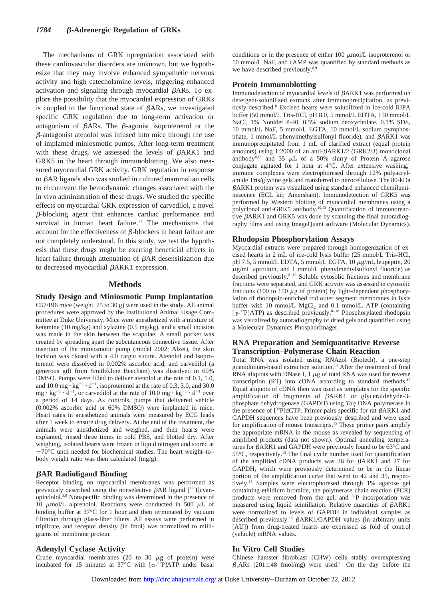## *1784* b**-Adrenergic Regulation of GRKs**

The mechanisms of GRK upregulation associated with these cardiovascular disorders are unknown, but we hypothesize that they may involve enhanced sympathetic nervous activity and high catecholamine levels, triggering enhanced activation and signaling through myocardial BARs. To explore the possibility that the myocardial expression of GRKs is coupled to the functional state of  $\beta ARs$ , we investigated specific GRK regulation due to long-term activation or antagonism of  $\beta$ ARs. The  $\beta$ -agonist isoproterenol or the  $\beta$ -antagonist atenolol was infused into mice through the use of implanted miniosmotic pumps. After long-term treatment with these drugs, we assessed the levels of  $\beta A R K1$  and GRK5 in the heart through immunoblotting. We also measured myocardial GRK activity. GRK regulation in response to  $\beta$ AR ligands also was studied in cultured mammalian cells to circumvent the hemodynamic changes associated with the in vivo administration of these drugs. We studied the specific effects on myocardial GRK expression of carvedilol, a novel b-blocking agent that enhances cardiac performance and survival in human heart failure.<sup>11</sup> The mechanisms that account for the effectiveness of  $\beta$ -blockers in heart failure are not completely understood. In this study, we test the hypothesis that these drugs might be exerting beneficial effects in heart failure through attenuation of  $\beta$ AR desensitization due to decreased myocardial  $\beta$ ARK1 expression.

#### **Methods**

**Study Design and Miniosmotic Pump Implantation** C57/Bl6 mice (weight, 25 to 30 g) were used in the study. All animal procedures were approved by the Institutional Animal Usage Committee at Duke University. Mice were anesthetized with a mixture of ketamine (10 mg/kg) and xylazine (0.5 mg/kg), and a small incision was made in the skin between the scapulae. A small pocket was created by spreading apart the subcutaneous connective tissue. After insertion of the miniosmotic pump (model 2002; Alzet), the skin incision was closed with a 4.0 catgut suture. Atenolol and isoproterenol were dissolved in 0.002% ascorbic acid, and carvedilol (a generous gift from SmithKline Beecham) was dissolved in 60% DMSO. Pumps were filled to deliver atenolol at the rate of 0.1, 1.0, and 10.0 mg  $\cdot$  kg<sup>-1</sup>  $\cdot$  d<sup>-1</sup>, isoproterenol at the rate of 0.3, 3.0, and 30.0  $mg \cdot kg^{-1} \cdot d^{-1}$ , or carvedilol at the rate of 10.0 mg  $\cdot kg^{-1} \cdot d^{-1}$  over a period of 14 days. As controls, pumps that delivered vehicle (0.002% ascorbic acid or 60% DMSO) were implanted in mice. Heart rates in anesthetized animals were measured by ECG leads after 1 week to ensure drug delivery. At the end of the treatment, the animals were anesthetized and weighed, and their hearts were explanted, rinsed three times in cold PBS, and blotted dry. After weighing, isolated hearts were frozen in liquid nitrogen and stored at  $-70^{\circ}$ C until needed for biochemical studies. The heart weight–to– body weight ratio was then calculated (mg/g).

## b**AR Radioligand Binding**

Receptor binding on myocardial membranes was performed as previously described using the nonselective  $\beta$ AR ligand  $[125]$ cyanopindolol.8,9 Nonspecific binding was determined in the presence of 10  $\mu$ mol/L alprenolol. Reactions were conducted in 500  $\mu$ L of binding buffer at 37°C for 1 hour and then terminated by vacuum filtration through glass-fiber filters. All assays were performed in triplicate, and receptor density (in fmol) was normalized to milligrams of membrane protein.

## **Adenylyl Cyclase Activity**

Crude myocardial membranes (20 to 30  $\mu$ g of protein) were incubated for 15 minutes at 37°C with  $[\alpha^{-32}P]ATP$  under basal

conditions or in the presence of either 100  $\mu$ mol/L isoproterenol or 10 mmol/L NaF, and cAMP was quantified by standard methods as we have described previously.<sup>8,9</sup>

#### **Protein Immunoblotting**

Immunodetection of myocardial levels of  $\beta ARK1$  was performed on detergent-solubilized extracts after immunoprecipitation, as previously described.8 Excised hearts were solubilized in ice-cold RIPA buffer (50 mmol/L Tris-HCl, pH 8.0, 5 mmol/L EDTA, 150 mmol/L NaCl, 1% Nonidet P-40, 0.5% sodium deoxycholate, 0.1% SDS, 10 mmol/L NaF, 5 mmol/L EGTA, 10 mmol/L sodium pyrophosphate, 1 mmol/L phenylmethylsulfonyl fluoride), and  $\beta A R K1$  was immunoprecipitated from 1 mL of clarified extract (equal protein amounts) using 1:2000 of an anti- $\beta$ ARK1/2 (GRK2/3) monoclonal antibody<sup>8,12</sup> and 35  $\mu$ L of a 50% slurry of Protein A–agarose conjugate agitated for 1 hour at  $4^{\circ}$ C. After extensive washing,<sup>8</sup> immune complexes were electrophoresed through 12% polyacrylamide Tris/glycine gels and transferred to nitrocellulose. The 80-kDa bARK1 protein was visualized using standard enhanced chemiluminescence (ECL kit; Amersham). Immunodetection of GRK5 was performed by Western blotting of myocardial membranes using a polyclonal anti-GRK5 antibody.10,13 Quantification of immunoreactive  $\beta$ ARK1 and GRK5 was done by scanning the final autoradiography films and using ImageQuant software (Molecular Dynamics).

#### **Rhodopsin Phosphorylation Assays**

Myocardial extracts were prepared through homogenization of excised hearts in 2 mL of ice-cold lysis buffer (25 mmol/L Tris-HCl, pH 7.5, 5 mmol/L EDTA, 5 mmol/L EGTA, 10  $\mu$ g/mL leupeptin, 20  $\mu$ g/mL aprotinin, and 1 mmol/L phenylmethylsulfonyl fluoride) as described previously.<sup>8-10</sup> Soluble cytosolic fractions and membrane fractions were separated, and GRK activity was assessed in cytosolic fractions (100 to 150  $\mu$ g of protein) by light-dependent phosphorylation of rhodopsin-enriched rod outer segment membranes in lysis buffer with 10 mmol/L  $MgCl<sub>2</sub>$  and 0.1 mmol/L ATP (containing [ $\gamma$ -<sup>32</sup>P]ATP) as described previously.<sup>8–10</sup> Phosphorylated rhodopsin was visualized by autoradiography of dried gels and quantified using a Molecular Dynamics PhosphorImager.

## **RNA Preparation and Semiquantitative Reverse Transcription–Polymerase Chain Reaction**

Total RNA was isolated using RNAzol (Biotech), a one-step guanidinium-based extraction solution.<sup>14</sup> After the treatment of final RNA aliquots with DNase I,  $1 \mu$ g of total RNA was used for reverse transcription (RT) into cDNA according to standard methods.15 Equal aliquots of cDNA then was used as templates for the specific amplification of fragments of  $\beta$ ARK1 or glyceraldehyde-3phosphate dehydrogenase (GAPDH) using *Taq* DNA polymerase in the presence of  $[^{32}P]$ dCTP. Primer pairs specific for rat  $\beta$ ARK1 and GAPDH sequences have been previously described and were used for amplification of mouse transcripts.<sup>15</sup> These primer pairs amplify the appropriate mRNA in the mouse as revealed by sequencing of amplified products (data not shown). Optimal annealing temperatures for  $\beta$ ARK1 and GAPDH were previously found to be 63 $\degree$ C and  $55^{\circ}$ C, respectively.<sup>15</sup> The final cycle number used for quantification of the amplified cDNA products was  $36$  for  $\beta$ ARK1 and 27 for GAPDH, which were previously determined to be in the linear portion of the amplification curve that went to 42 and 35, respectively.15 Samples were electrophoresed through 1% agarose gel containing ethidium bromide, the polymerase chain reaction (PCR) products were removed from the gel, and 32P incorporation was measured using liquid scintillation. Relative quantities of  $\beta A R K1$ were normalized to levels of GAPDH in individual samples as described previously.<sup>15</sup>  $\beta$ ARK1/GAPDH values (in arbitrary units [AU]) from drug-treated hearts are expressed as fold of control (vehicle) mRNA values.

## **In Vitro Cell Studies**

Chinese hamster fibroblast (CHW) cells stably overexpressing  $\beta_1$ ARs (201±48 fmol/mg) were used.<sup>16</sup> On the day before the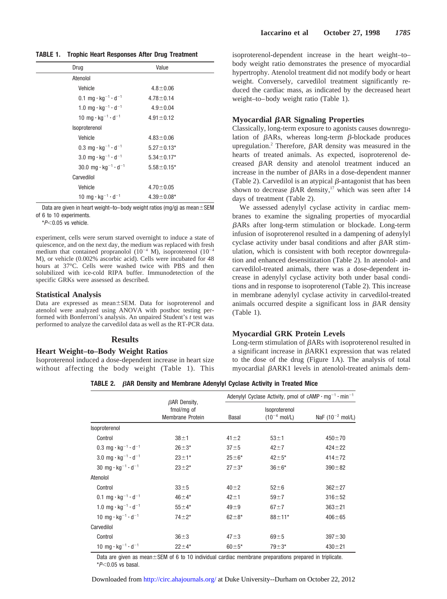**TABLE 1. Trophic Heart Responses After Drug Treatment**

| Drug                                                     | Value             |
|----------------------------------------------------------|-------------------|
| Atenolol                                                 |                   |
| Vehicle                                                  | $4.8 \pm 0.06$    |
| 0.1 mg $\cdot$ kg <sup>-1</sup> $\cdot$ d <sup>-1</sup>  | $4.78 \pm 0.14$   |
| 1.0 mg $\cdot$ kg <sup>-1</sup> $\cdot$ d <sup>-1</sup>  | $4.9 \pm 0.04$    |
| 10 mg $\cdot$ kg <sup>-1</sup> $\cdot$ d <sup>-1</sup>   | $4.91 \pm 0.12$   |
| Isoproterenol                                            |                   |
| Vehicle                                                  | $4.83 \pm 0.06$   |
| 0.3 mg $\cdot$ kg <sup>-1</sup> $\cdot$ d <sup>-1</sup>  | $5.27 \pm 0.13*$  |
| 3.0 mg $\cdot$ kg <sup>-1</sup> $\cdot$ d <sup>-1</sup>  | $5.34 \pm 0.17*$  |
| 30.0 mg $\cdot$ kg <sup>-1</sup> $\cdot$ d <sup>-1</sup> | $5.58 \pm 0.15^*$ |
| Carvedilol                                               |                   |
| Vehicle                                                  | $4.70 \pm 0.05$   |
| 10 mg $\cdot$ kg <sup>-1</sup> $\cdot$ d <sup>-1</sup>   | $4.39 \pm 0.08*$  |

Data are given in heart weight–to–body weight ratios (mg/g) as mean $\pm$ SEM of 6 to 10 experiments.

 $*P<0.05$  vs vehicle.

experiment, cells were serum starved overnight to induce a state of quiescence, and on the next day, the medium was replaced with fresh medium that contained propranolol  $(10^{-4}$  M), isoproterenol  $(10^{-4}$ M), or vehicle (0.002% ascorbic acid). Cells were incubated for 48 hours at 37°C. Cells were washed twice with PBS and then solubilized with ice-cold RIPA buffer. Immunodetection of the specific GRKs were assessed as described.

#### **Statistical Analysis**

Data are expressed as mean±SEM. Data for isoproterenol and atenolol were analyzed using ANOVA with posthoc testing performed with Bonferroni's analysis. An unpaired Student's *t* test was performed to analyze the carvedilol data as well as the RT-PCR data.

#### **Results**

## **Heart Weight–to–Body Weight Ratios**

Isoproterenol induced a dose-dependent increase in heart size without affecting the body weight (Table 1). This isoproterenol-dependent increase in the heart weight–to– body weight ratio demonstrates the presence of myocardial hypertrophy. Atenolol treatment did not modify body or heart weight. Conversely, carvedilol treatment significantly reduced the cardiac mass, as indicated by the decreased heart weight–to–body weight ratio (Table 1).

#### **Myocardial** b**AR Signaling Properties**

Classically, long-term exposure to agonists causes downregulation of  $\beta$ ARs, whereas long-term  $\beta$ -blockade produces upregulation.<sup>2</sup> Therefore,  $\beta$ AR density was measured in the hearts of treated animals. As expected, isoproterenol decreased  $\beta$ AR density and atenolol treatment induced an increase in the number of  $\beta A Rs$  in a dose-dependent manner (Table 2). Carvedilol is an atypical  $\beta$ -antagonist that has been shown to decrease  $\beta$ AR density,<sup>17</sup> which was seen after 14 days of treatment (Table 2).

We assessed adenylyl cyclase activity in cardiac membranes to examine the signaling properties of myocardial bARs after long-term stimulation or blockade. Long-term infusion of isoproterenol resulted in a dampening of adenylyl cyclase activity under basal conditions and after  $\beta$ AR stimulation, which is consistent with both receptor downregulation and enhanced desensitization (Table 2). In atenolol- and carvedilol-treated animals, there was a dose-dependent increase in adenylyl cyclase activity both under basal conditions and in response to isoproterenol (Table 2). This increase in membrane adenylyl cyclase activity in carvedilol-treated animals occurred despite a significant loss in  $\beta$ AR density (Table 1).

#### **Myocardial GRK Protein Levels**

Long-term stimulation of  $\beta$ ARs with isoproterenol resulted in a significant increase in  $\beta A R K1$  expression that was related to the dose of the drug (Figure 1A). The analysis of total myocardial  $\beta$ ARK1 levels in atenolol-treated animals dem-

**TABLE 2.** b**AR Density and Membrane Adenylyl Cyclase Activity in Treated Mice**

|                                                           | $\beta$ AR Density,<br>fmol/mg of<br>Membrane Protein | Adenylyl Cyclase Activity, pmol of cAMP $\cdot$ mg <sup>-1</sup> $\cdot$ min <sup>-1</sup> |                                    |                       |
|-----------------------------------------------------------|-------------------------------------------------------|--------------------------------------------------------------------------------------------|------------------------------------|-----------------------|
|                                                           |                                                       | Basal                                                                                      | Isoproterenol<br>$(10^{-4}$ mol/L) | NaF $(10^{-2}$ mol/L) |
| Isoproterenol                                             |                                                       |                                                                                            |                                    |                       |
| Control                                                   | $38 + 1$                                              | $41 \pm 2$                                                                                 | $53 + 1$                           | $450 + 70$            |
| $0.3 \text{ mg} \cdot \text{kg}^{-1} \cdot \text{d}^{-1}$ | $26 + 3*$                                             | $37 + 5$                                                                                   | $42 + 7$                           | $424 + 22$            |
| 3.0 mg $\cdot$ kg <sup>-1</sup> $\cdot$ d <sup>-1</sup>   | $23 + 1*$                                             | $25 + 6*$                                                                                  | $42 + 5*$                          | $414 + 72$            |
| 30 mg $\cdot$ kg <sup>-1</sup> $\cdot$ d <sup>-1</sup>    | $23 + 2^{*}$                                          | $27 + 3*$                                                                                  | $36 \pm 6*$                        | $390 + 82$            |
| Atenolol                                                  |                                                       |                                                                                            |                                    |                       |
| Control                                                   | $33 + 5$                                              | $40 + 2$                                                                                   | $52 + 6$                           | $362 + 27$            |
| 0.1 mg $\cdot$ kg <sup>-1</sup> $\cdot$ d <sup>-1</sup>   | $46 + 4*$                                             | $42 + 1$                                                                                   | $59 + 7$                           | $316 + 52$            |
| 1.0 mg $\cdot$ kg <sup>-1</sup> $\cdot$ d <sup>-1</sup>   | $55 + 4*$                                             | $49 \pm 9$                                                                                 | $67 + 7$                           | $363 + 21$            |
| 10 mg $\cdot$ kg <sup>-1</sup> $\cdot$ d <sup>-1</sup>    | $74 + 2*$                                             | $62 + 8*$                                                                                  | $88 + 11*$                         | $406 + 65$            |
| Carvedilol                                                |                                                       |                                                                                            |                                    |                       |
| Control                                                   | $36 + 3$                                              | $47 + 3$                                                                                   | $69 + 5$                           | $397 + 30$            |
| 10 mg $\cdot$ kg <sup>-1</sup> $\cdot$ d <sup>-1</sup>    | $22 + 4*$                                             | $60 \pm 5*$                                                                                | $79 + 3*$                          | $430 + 21$            |

Data are given as mean±SEM of 6 to 10 individual cardiac membrane preparations prepared in triplicate.  $*P<0.05$  vs basal.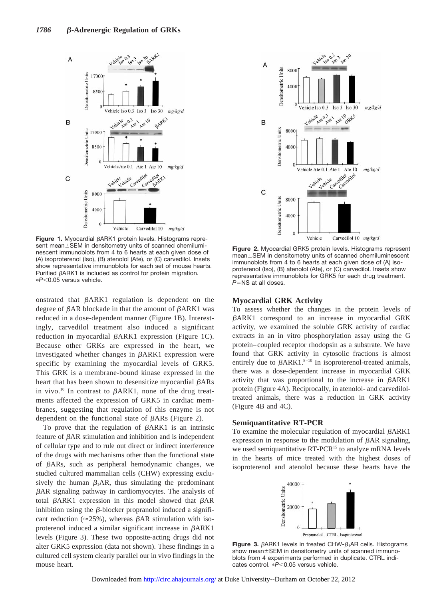

Figure 1. Myocardial  $\beta$ ARK1 protein levels. Histograms represent mean±SEM in densitometry units of scanned chemiluminescent immunoblots from 4 to 6 hearts at each given dose of (A) isoproterenol (Iso), (B) atenolol (Ate), or (C) carvedilol. Insets show representative immunoblots for each set of mouse hearts. Purified  $\beta$ ARK1 is included as control for protein migration. p*P*,0.05 versus vehicle.

onstrated that  $\beta A R K1$  regulation is dependent on the degree of  $\beta$ AR blockade in that the amount of  $\beta$ ARK1 was reduced in a dose-dependent manner (Figure 1B). Interestingly, carvedilol treatment also induced a significant reduction in myocardial  $\beta$ ARK1 expression (Figure 1C). Because other GRKs are expressed in the heart, we investigated whether changes in  $\beta$ ARK1 expression were specific by examining the myocardial levels of GRK5. This GRK is a membrane-bound kinase expressed in the heart that has been shown to desensitize myocardial  $\beta$ ARs in vivo.<sup>10</sup> In contrast to  $\beta ARK1$ , none of the drug treatments affected the expression of GRK5 in cardiac membranes, suggesting that regulation of this enzyme is not dependent on the functional state of  $\beta$ ARs (Figure 2).

To prove that the regulation of  $\beta$ ARK1 is an intrinsic feature of  $\beta$ AR stimulation and inhibition and is independent of cellular type and to rule out direct or indirect interference of the drugs with mechanisms other than the functional state of bARs, such as peripheral hemodynamic changes, we studied cultured mammalian cells (CHW) expressing exclusively the human  $\beta_1AR$ , thus simulating the predominant  $\beta$ AR signaling pathway in cardiomyocytes. The analysis of total  $\beta$ ARK1 expression in this model showed that  $\beta$ AR inhibition using the  $\beta$ -blocker propranolol induced a significant reduction ( $\approx$ 25%), whereas  $\beta$ AR stimulation with isoproterenol induced a similar significant increase in  $\beta A R K1$ levels (Figure 3). These two opposite-acting drugs did not alter GRK5 expression (data not shown). These findings in a cultured cell system clearly parallel our in vivo findings in the mouse heart.



**Figure 2.** Myocardial GRK5 protein levels. Histograms represent  $mean  $\pm$  SEM$  in densitometry units of scanned chemiluminescent immunoblots from 4 to 6 hearts at each given dose of (A) isoproterenol (Iso), (B) atenolol (Ate), or (C) carvedilol. Insets show representative immunoblots for GRK5 for each drug treatment. *P*=NS at all doses.

## **Myocardial GRK Activity**

To assess whether the changes in the protein levels of bARK1 correspond to an increase in myocardial GRK activity, we examined the soluble GRK activity of cardiac extracts in an in vitro phosphorylation assay using the G protein–coupled receptor rhodopsin as a substrate. We have found that GRK activity in cytosolic fractions is almost entirely due to  $\beta A R K1$ .<sup>8–10</sup> In isoproterenol-treated animals, there was a dose-dependent increase in myocardial GRK activity that was proportional to the increase in  $\beta A R K1$ protein (Figure 4A). Reciprocally, in atenolol- and carvediloltreated animals, there was a reduction in GRK activity (Figure 4B and 4C).

## **Semiquantitative RT-PCR**

To examine the molecular regulation of myocardial  $\beta$ ARK1 expression in response to the modulation of  $\beta$ AR signaling, we used semiquantitative RT-PCR<sup>15</sup> to analyze mRNA levels in the hearts of mice treated with the highest doses of isoproterenol and atenolol because these hearts have the



**Figure 3.**  $\beta$ ARK1 levels in treated CHW- $\beta$ <sub>1</sub>AR cells. Histograms show mean $+$ SEM in densitometry units of scanned immunoblots from 4 experiments performed in duplicate. CTRL indicates control. \*P<0.05 versus vehicle.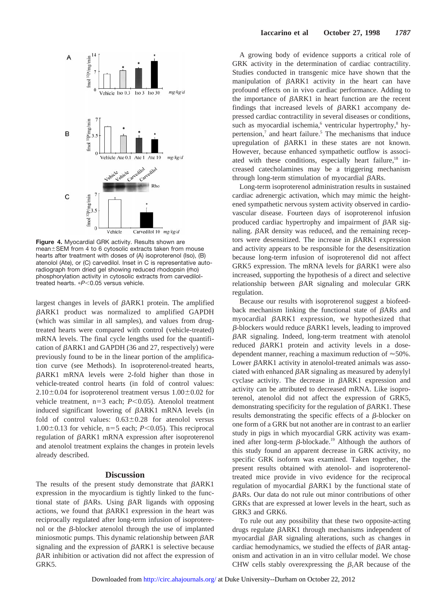

**Figure 4.** Myocardial GRK activity. Results shown are mean $\pm$ SEM from 4 to 6 cytosolic extracts taken from mouse hearts after treatment with doses of (A) isoproterenol (Iso), (B) atenolol (Ate), or (C) carvedilol. Inset in C is representative autoradiograph from dried gel showing reduced rhodopsin (rho) phosphorylation activity in cytosolic extracts from carvediloltreated hearts. \*P<0.05 versus vehicle.

largest changes in levels of  $\beta$ ARK1 protein. The amplified bARK1 product was normalized to amplified GAPDH (which was similar in all samples), and values from drugtreated hearts were compared with control (vehicle-treated) mRNA levels. The final cycle lengths used for the quantification of  $\beta$ ARK1 and GAPDH (36 and 27, respectively) were previously found to be in the linear portion of the amplification curve (see Methods). In isoproterenol-treated hearts,  $\beta$ ARK1 mRNA levels were 2-fold higher than those in vehicle-treated control hearts (in fold of control values:  $2.10\pm0.04$  for isoproterenol treatment versus  $1.00\pm0.02$  for vehicle treatment, n=3 each; *P*<0.05). Atenolol treatment induced significant lowering of  $\beta$ ARK1 mRNA levels (in fold of control values:  $0.63 \pm 0.28$  for atenolol versus  $1.00\pm0.13$  for vehicle, n=5 each; *P*<0.05). This reciprocal regulation of  $\beta$ ARK1 mRNA expression after isoproterenol and atenolol treatment explains the changes in protein levels already described.

## **Discussion**

The results of the present study demonstrate that  $\beta A R K1$ expression in the myocardium is tightly linked to the functional state of  $\beta$ ARs. Using  $\beta$ AR ligands with opposing actions, we found that  $\beta A R K1$  expression in the heart was reciprocally regulated after long-term infusion of isoproterenol or the  $\beta$ -blocker atenolol through the use of implanted miniosmotic pumps. This dynamic relationship between  $\beta AR$ signaling and the expression of  $\beta$ ARK1 is selective because  $\beta$ AR inhibition or activation did not affect the expression of GRK5.

A growing body of evidence supports a critical role of GRK activity in the determination of cardiac contractility. Studies conducted in transgenic mice have shown that the manipulation of  $\beta$ ARK1 activity in the heart can have profound effects on in vivo cardiac performance. Adding to the importance of  $\beta$ ARK1 in heart function are the recent findings that increased levels of  $\beta A R K1$  accompany depressed cardiac contractility in several diseases or conditions, such as myocardial ischemia,<sup>6</sup> ventricular hypertrophy,<sup>8</sup> hypertension,<sup>7</sup> and heart failure.<sup>5</sup> The mechanisms that induce upregulation of  $\beta A R K1$  in these states are not known. However, because enhanced sympathetic outflow is associated with these conditions, especially heart failure, $18$  increased catecholamines may be a triggering mechanism through long-term stimulation of myocardial  $\beta$ ARs.

Long-term isoproterenol administration results in sustained cardiac adrenergic activation, which may mimic the heightened sympathetic nervous system activity observed in cardiovascular disease. Fourteen days of isoproterenol infusion produced cardiac hypertrophy and impairment of  $\beta$ AR signaling.  $\beta$ AR density was reduced, and the remaining receptors were desensitized. The increase in  $\beta$ ARK1 expression and activity appears to be responsible for the desensitization because long-term infusion of isoproterenol did not affect GRK5 expression. The mRNA levels for  $\beta$ ARK1 were also increased, supporting the hypothesis of a direct and selective relationship between  $\beta$ AR signaling and molecular GRK regulation.

Because our results with isoproterenol suggest a biofeedback mechanism linking the functional state of  $\beta$ ARs and myocardial  $\beta$ ARK1 expression, we hypothesized that  $\beta$ -blockers would reduce  $\beta$ ARK1 levels, leading to improved  $\beta$ AR signaling. Indeed, long-term treatment with atenolol reduced bARK1 protein and activity levels in a dosedependent manner, reaching a maximum reduction of  $\approx 50\%$ . Lower  $\beta$ ARK1 activity in atenolol-treated animals was associated with enhanced  $\beta AR$  signaling as measured by adenylyl cyclase activity. The decrease in  $\beta A R K1$  expression and activity can be attributed to decreased mRNA. Like isoproterenol, atenolol did not affect the expression of GRK5, demonstrating specificity for the regulation of  $\beta A R K1$ . These results demonstrating the specific effects of a  $\beta$ -blocker on one form of a GRK but not another are in contrast to an earlier study in pigs in which myocardial GRK activity was examined after long-term  $\beta$ -blockade.<sup>19</sup> Although the authors of this study found an apparent decrease in GRK activity, no specific GRK isoform was examined. Taken together, the present results obtained with atenolol- and isoproterenoltreated mice provide in vivo evidence for the reciprocal regulation of myocardial  $\beta A R K1$  by the functional state of bARs. Our data do not rule out minor contributions of other GRKs that are expressed at lower levels in the heart, such as GRK3 and GRK6.

To rule out any possibility that these two opposite-acting drugs regulate  $\beta$ ARK1 through mechanisms independent of myocardial  $\beta AR$  signaling alterations, such as changes in cardiac hemodynamics, we studied the effects of  $\beta$ AR antagonism and activation in an in vitro cellular model. We chose CHW cells stably overexpressing the  $\beta_1$ AR because of the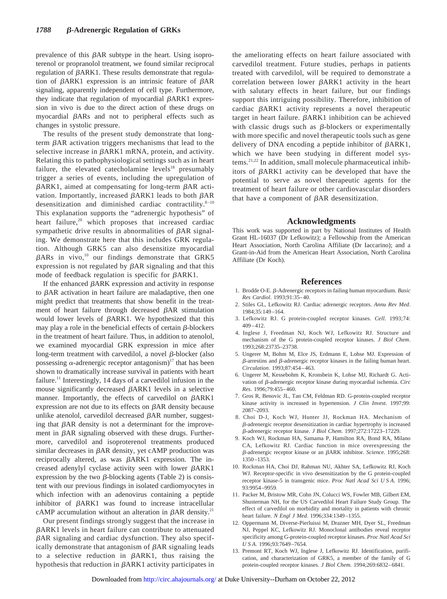prevalence of this  $\beta$ AR subtype in the heart. Using isoproterenol or propranolol treatment, we found similar reciprocal regulation of  $\beta$ ARK1. These results demonstrate that regulation of  $\beta$ ARK1 expression is an intrinsic feature of  $\beta$ AR signaling, apparently independent of cell type. Furthermore, they indicate that regulation of myocardial  $\beta A R K1$  expression in vivo is due to the direct action of these drugs on myocardial  $\beta$ ARs and not to peripheral effects such as changes in systolic pressure.

The results of the present study demonstrate that longterm  $\beta$ AR activation triggers mechanisms that lead to the selective increase in  $\beta$ ARK1 mRNA, protein, and activity. Relating this to pathophysiological settings such as in heart failure, the elevated catecholamine levels $18$  presumably trigger a series of events, including the upregulation of  $\beta$ ARK1, aimed at compensating for long-term  $\beta$ AR activation. Importantly, increased  $\beta$ ARK1 leads to both  $\beta$ AR desensitization and diminished cardiac contractility.<sup>8-10</sup> This explanation supports the "adrenergic hypothesis" of heart failure,<sup>20</sup> which proposes that increased cardiac sympathetic drive results in abnormalities of  $\beta$ AR signaling. We demonstrate here that this includes GRK regulation. Although GRK5 can also desensitize myocardial  $\beta$ ARs in vivo,<sup>10</sup> our findings demonstrate that GRK5 expression is not regulated by  $\beta$ AR signaling and that this mode of feedback regulation is specific for  $\beta$ ARK1.

If the enhanced  $\beta ARK$  expression and activity in response to  $\beta$ AR activation in heart failure are maladaptive, then one might predict that treatments that show benefit in the treatment of heart failure through decreased  $\beta$ AR stimulation would lower levels of  $\beta$ ARK1. We hypothesized that this may play a role in the beneficial effects of certain  $\beta$ -blockers in the treatment of heart failure. Thus, in addition to atenolol, we examined myocardial GRK expression in mice after long-term treatment with carvedilol, a novel  $\beta$ -blocker (also possessing  $\alpha$ -adrenergic receptor antagonism)<sup>17</sup> that has been shown to dramatically increase survival in patients with heart failure.<sup>11</sup> Interestingly, 14 days of a carvedilol infusion in the mouse significantly decreased  $\beta$ ARK1 levels in a selective manner. Importantly, the effects of carvedilol on  $\beta A R K1$ expression are not due to its effects on  $\beta$ AR density because unlike atenolol, carvedilol decreased  $\beta$ AR number, suggesting that  $\beta$ AR density is not a determinant for the improvement in  $\beta$ AR signaling observed with these drugs. Furthermore, carvedilol and isoproterenol treatments produced similar decreases in  $\beta$ AR density, yet cAMP production was reciprocally altered, as was  $\beta A R K1$  expression. The increased adenylyl cyclase activity seen with lower  $\beta A R K1$ expression by the two  $\beta$ -blocking agents (Table 2) is consistent with our previous findings in isolated cardiomyocytes in which infection with an adenovirus containing a peptide inhibitor of  $\beta A R K1$  was found to increase intracellular cAMP accumulation without an alteration in  $\beta$ AR density.<sup>21</sup>

Our present findings strongly suggest that the increase in  $\beta$ ARK1 levels in heart failure can contribute to attenuated  $\beta$ AR signaling and cardiac dysfunction. They also specifically demonstrate that antagonism of  $\beta$ AR signaling leads to a selective reduction in  $\beta A R K1$ , thus raising the hypothesis that reduction in  $\beta$ ARK1 activity participates in the ameliorating effects on heart failure associated with carvedilol treatment. Future studies, perhaps in patients treated with carvedilol, will be required to demonstrate a correlation between lower  $\beta A R K1$  activity in the heart with salutary effects in heart failure, but our findings support this intriguing possibility. Therefore, inhibition of cardiac  $\beta$ ARK1 activity represents a novel therapeutic target in heart failure.  $\beta A R K1$  inhibition can be achieved with classic drugs such as  $\beta$ -blockers or experimentally with more specific and novel therapeutic tools such as gene delivery of DNA encoding a peptide inhibitor of  $\beta$ ARK1, which we have been studying in different model systems.21,22 In addition, small molecule pharmaceutical inhibitors of  $\beta$ ARK1 activity can be developed that have the potential to serve as novel therapeutic agents for the treatment of heart failure or other cardiovascular disorders that have a component of  $\beta$ AR desensitization.

## **Acknowledgments**

This work was supported in part by National Institutes of Health Grant HL-16037 (Dr Lefkowitz); a Fellowship from the American Heart Association, North Carolina Affiliate (Dr Iaccarino); and a Grant-in-Aid from the American Heart Association, North Carolina Affiliate (Dr Koch).

#### **References**

- 1. Brodde O-E. b-Adrenergic receptors in failing human myocardium. *Basic Res Cardiol*. 1993;91:35–40.
- 2. Stiles GL, Lefkowitz RJ. Cardiac adrenergic receptors. *Annu Rev Med*. 1984;35:149–164.
- 3. Lefkowitz RJ. G protein-coupled receptor kinases. *Cell*. 1993;74: 409–412.
- 4. Inglese J, Freedman NJ, Koch WJ, Lefkowitz RJ. Structure and mechanism of the G protein-coupled receptor kinases. *J Biol Chem*. 1993;268:23735–23738.
- 5. Ungerer M, Bohm M, Elce JS, Erdmann E, Lohse MJ. Expression of  $\beta$ -arrestins and  $\beta$ -adrenergic receptor kinases in the failing human heart. *Circulation*. 1993;87:454–463.
- 6. Ungerer M, Kessebohm K, Kronsbein K, Lohse MJ, Richardt G. Activation of b-adrenergic receptor kinase during myocardial ischemia. *Circ Res*. 1996;79:455–460.
- 7. Gros R, Benovic JL, Tan CM, Feldman RD. G-protein-coupled receptor kinase activity is increased in hypertension. *J Clin Invest*. 1997;99: 2087–2093.
- 8. Choi D-J, Koch WJ, Hunter JJ, Rockman HA. Mechanism of  $\beta$ -adrenergic receptor desensitization in cardiac hypertrophy is increased b-adrenergic receptor kinase. *J Biol Chem*. 1997;272:17223–17229.
- 9. Koch WJ, Rockman HA, Samama P, Hamilton RA, Bond RA, Milano CA, Lefkowitz RJ. Cardiac function in mice overexpressing the b-adrenergic receptor kinase or an bARK inhibitor. *Science*. 1995;268: 1350–1353.
- 10. Rockman HA, Choi DJ, Rahman NU, Akhter SA, Lefkowitz RJ, Koch WJ. Receptor-specific in vivo desensitization by the G protein-coupled receptor kinase-5 in transgenic mice. *Proc Natl Acad Sci U S A*. 1996; 93:9954–9959.
- 11. Packer M, Bristow MR, Cohn JN, Colucci WS, Fowler MB, Gilbert EM, Shusterman NH, for the US Carvedilol Heart Failure Study Group. The effect of carvedilol on morbidity and mortality in patients with chronic heart failure. *N Engl J Med*. 1996;334:1349–1355.
- 12. Oppermann M, Diverse-Pierluissi M, Drazner MH, Dyer SL, Freedman NJ, Peppel KC, Lefkowitz RJ. Monoclonal antibodies reveal receptor specificity among G-protein-coupled receptor kinases. *Proc Natl Acad Sci USA*. 1996;93:7649–7654.
- 13. Premont RT, Koch WJ, Inglese J, Lefkowitz RJ. Identification, purification, and characterization of GRK5, a member of the family of G protein-coupled receptor kinases. *J Biol Chem*. 1994;269:6832–6841.